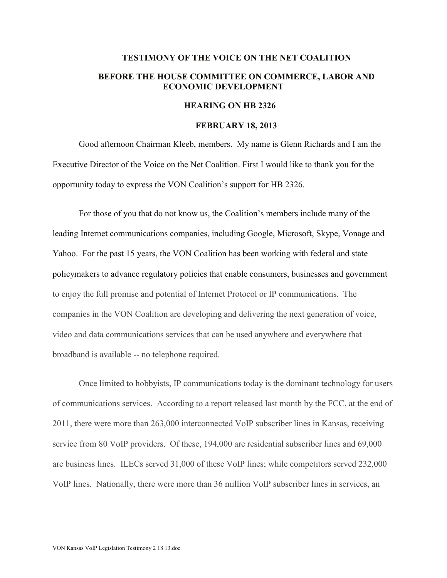## **TESTIMONY OF THE VOICE ON THE NET COALITION BEFORE THE HOUSE COMMITTEE ON COMMERCE, LABOR AND ECONOMIC DEVELOPMENT**

## **HEARING ON HB 2326**

## **FEBRUARY 18, 2013**

Good afternoon Chairman Kleeb, members. My name is Glenn Richards and I am the Executive Director of the Voice on the Net Coalition. First I would like to thank you for the opportunity today to express the VON Coalition's support for HB 2326.

For those of you that do not know us, the Coalition's members include many of the leading Internet communications companies, including Google, Microsoft, Skype, Vonage and Yahoo. For the past 15 years, the VON Coalition has been working with federal and state policymakers to advance regulatory policies that enable consumers, businesses and government to enjoy the full promise and potential of Internet Protocol or IP communications. The companies in the VON Coalition are developing and delivering the next generation of voice, video and data communications services that can be used anywhere and everywhere that broadband is available -- no telephone required.

Once limited to hobbyists, IP communications today is the dominant technology for users of communications services. According to a report released last month by the FCC, at the end of 2011, there were more than 263,000 interconnected VoIP subscriber lines in Kansas, receiving service from 80 VoIP providers. Of these, 194,000 are residential subscriber lines and 69,000 are business lines. ILECs served 31,000 of these VoIP lines; while competitors served 232,000 VoIP lines. Nationally, there were more than 36 million VoIP subscriber lines in services, an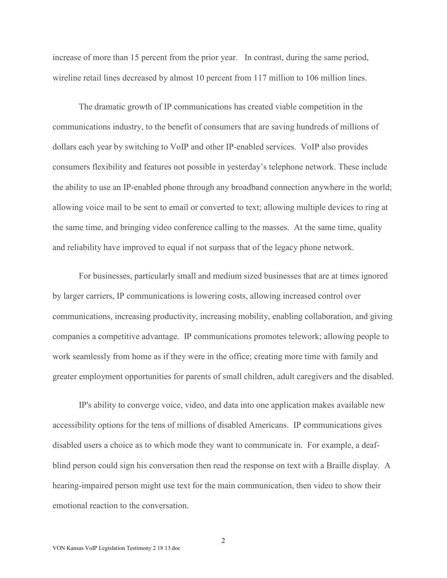increase of more than 15 percent from the prior year. In contrast, during the same period, wireline retail lines decreased by almost 10 percent from 117 million to 106 million lines.

The dramatic growth of IP communications has created viable competition in the communications industry, to the benefit of consumers that are saving hundreds of millions of dollars each year by switching to VoIP and other IP-enabled services. VoIP also provides consumers flexibility and features not possible in yesterday's telephone network. These include the ability to use an IP-enabled phone through any broadband connection anywhere in the world; allowing voice mail to be sent to email or converted to text; allowing multiple devices to ring at the same time, and bringing video conference calling to the masses. At the same time, quality and reliability have improved to equal if not surpass that of the legacy phone network.

For businesses, particularly small and medium sized businesses that are at times ignored by larger carriers, IP communications is lowering costs, allowing increased control over communications, increasing productivity, increasing mobility, enabling collaboration, and giving companies a competitive advantage. IP communications promotes telework; allowing people to work seamlessly from home as if they were in the office; creating more time with family and greater employment opportunities for parents of small children, adult caregivers and the disabled.

IP's ability to converge voice, video, and data into one application makes available new accessibility options for the tens of millions of disabled Americans. IP communications gives disabled users a choice as to which mode they want to communicate in. For example, a deafblind person could sign his conversation then read the response on text with a Braille display. A hearing-impaired person might use text for the main communication, then video to show their emotional reaction to the conversation.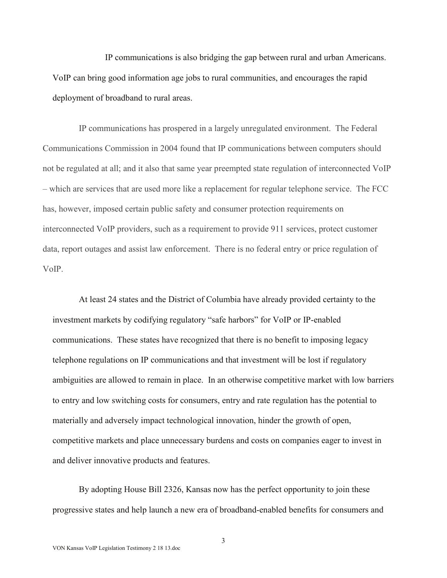IP communications is also bridging the gap between rural and urban Americans. VoIP can bring good information age jobs to rural communities, and encourages the rapid deployment of broadband to rural areas.

IP communications has prospered in a largely unregulated environment. The Federal Communications Commission in 2004 found that IP communications between computers should not be regulated at all; and it also that same year preempted state regulation of interconnected VoIP – which are services that are used more like a replacement for regular telephone service. The FCC has, however, imposed certain public safety and consumer protection requirements on interconnected VoIP providers, such as a requirement to provide 911 services, protect customer data, report outages and assist law enforcement. There is no federal entry or price regulation of VoIP.

At least 24 states and the District of Columbia have already provided certainty to the investment markets by codifying regulatory "safe harbors" for VoIP or IP-enabled communications. These states have recognized that there is no benefit to imposing legacy telephone regulations on IP communications and that investment will be lost if regulatory ambiguities are allowed to remain in place. In an otherwise competitive market with low barriers to entry and low switching costs for consumers, entry and rate regulation has the potential to materially and adversely impact technological innovation, hinder the growth of open, competitive markets and place unnecessary burdens and costs on companies eager to invest in and deliver innovative products and features.

By adopting House Bill 2326, Kansas now has the perfect opportunity to join these progressive states and help launch a new era of broadband-enabled benefits for consumers and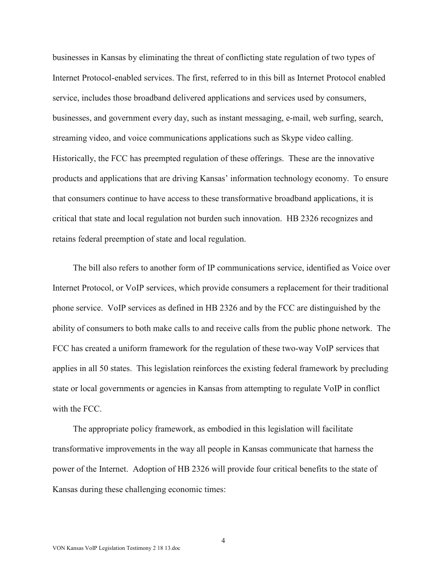businesses in Kansas by eliminating the threat of conflicting state regulation of two types of Internet Protocol-enabled services. The first, referred to in this bill as Internet Protocol enabled service, includes those broadband delivered applications and services used by consumers, businesses, and government every day, such as instant messaging, e-mail, web surfing, search, streaming video, and voice communications applications such as Skype video calling. Historically, the FCC has preempted regulation of these offerings. These are the innovative products and applications that are driving Kansas' information technology economy. To ensure that consumers continue to have access to these transformative broadband applications, it is critical that state and local regulation not burden such innovation. HB 2326 recognizes and retains federal preemption of state and local regulation.

The bill also refers to another form of IP communications service, identified as Voice over Internet Protocol, or VoIP services, which provide consumers a replacement for their traditional phone service. VoIP services as defined in HB 2326 and by the FCC are distinguished by the ability of consumers to both make calls to and receive calls from the public phone network. The FCC has created a uniform framework for the regulation of these two-way VoIP services that applies in all 50 states. This legislation reinforces the existing federal framework by precluding state or local governments or agencies in Kansas from attempting to regulate VoIP in conflict with the FCC.

The appropriate policy framework, as embodied in this legislation will facilitate transformative improvements in the way all people in Kansas communicate that harness the power of the Internet. Adoption of HB 2326 will provide four critical benefits to the state of Kansas during these challenging economic times: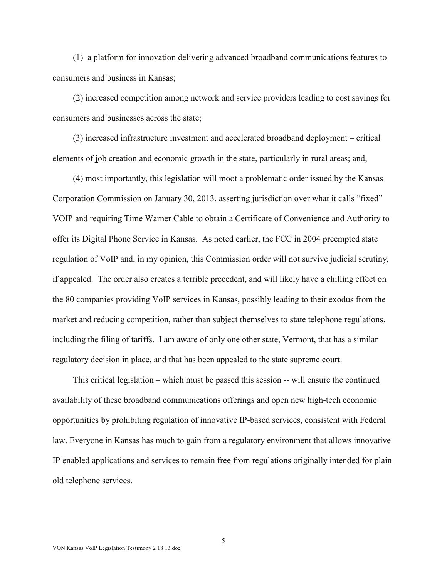(1) a platform for innovation delivering advanced broadband communications features to consumers and business in Kansas;

(2) increased competition among network and service providers leading to cost savings for consumers and businesses across the state;

(3) increased infrastructure investment and accelerated broadband deployment – critical elements of job creation and economic growth in the state, particularly in rural areas; and,

(4) most importantly, this legislation will moot a problematic order issued by the Kansas Corporation Commission on January 30, 2013, asserting jurisdiction over what it calls "fixed" VOIP and requiring Time Warner Cable to obtain a Certificate of Convenience and Authority to offer its Digital Phone Service in Kansas. As noted earlier, the FCC in 2004 preempted state regulation of VoIP and, in my opinion, this Commission order will not survive judicial scrutiny, if appealed. The order also creates a terrible precedent, and will likely have a chilling effect on the 80 companies providing VoIP services in Kansas, possibly leading to their exodus from the market and reducing competition, rather than subject themselves to state telephone regulations, including the filing of tariffs. I am aware of only one other state, Vermont, that has a similar regulatory decision in place, and that has been appealed to the state supreme court.

This critical legislation – which must be passed this session -- will ensure the continued availability of these broadband communications offerings and open new high-tech economic opportunities by prohibiting regulation of innovative IP-based services, consistent with Federal law. Everyone in Kansas has much to gain from a regulatory environment that allows innovative IP enabled applications and services to remain free from regulations originally intended for plain old telephone services.